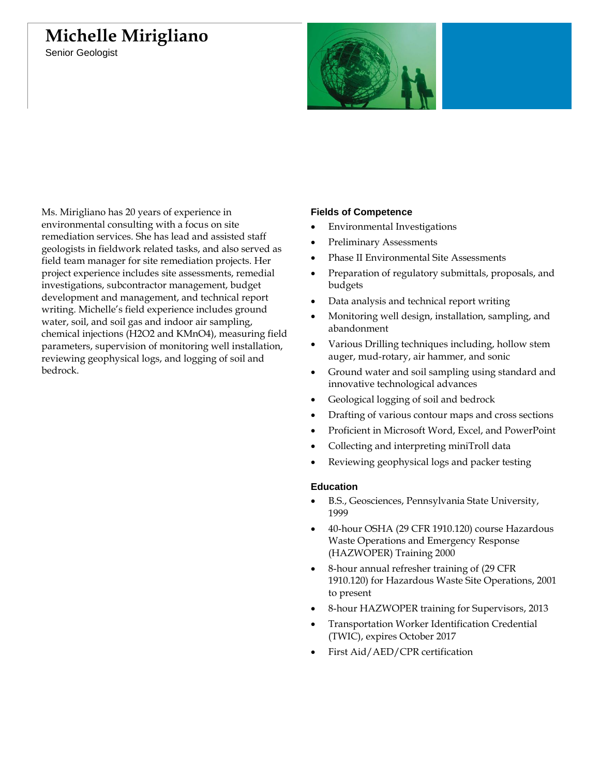# **Michelle Mirigliano**

Senior Geologist



Ms. Mirigliano has 20 years of experience in environmental consulting with a focus on site remediation services. She has lead and assisted staff geologists in fieldwork related tasks, and also served as field team manager for site remediation projects. Her project experience includes site assessments, remedial investigations, subcontractor management, budget development and management, and technical report writing. Michelle's field experience includes ground water, soil, and soil gas and indoor air sampling, chemical injections (H2O2 and KMnO4), measuring field parameters, supervision of monitoring well installation, reviewing geophysical logs, and logging of soil and bedrock.

## **Fields of Competence**

- Environmental Investigations
- Preliminary Assessments
- Phase II Environmental Site Assessments
- Preparation of regulatory submittals, proposals, and budgets
- Data analysis and technical report writing
- Monitoring well design, installation, sampling, and abandonment
- Various Drilling techniques including, hollow stem auger, mud-rotary, air hammer, and sonic
- Ground water and soil sampling using standard and innovative technological advances
- Geological logging of soil and bedrock
- Drafting of various contour maps and cross sections
- Proficient in Microsoft Word, Excel, and PowerPoint
- Collecting and interpreting miniTroll data
- Reviewing geophysical logs and packer testing

#### **Education**

- B.S., Geosciences, Pennsylvania State University, 1999
- 40-hour OSHA (29 CFR 1910.120) course Hazardous Waste Operations and Emergency Response (HAZWOPER) Training 2000
- 8-hour annual refresher training of (29 CFR 1910.120) for Hazardous Waste Site Operations, 2001 to present
- 8-hour HAZWOPER training for Supervisors, 2013
- Transportation Worker Identification Credential (TWIC), expires October 2017
- First Aid/AED/CPR certification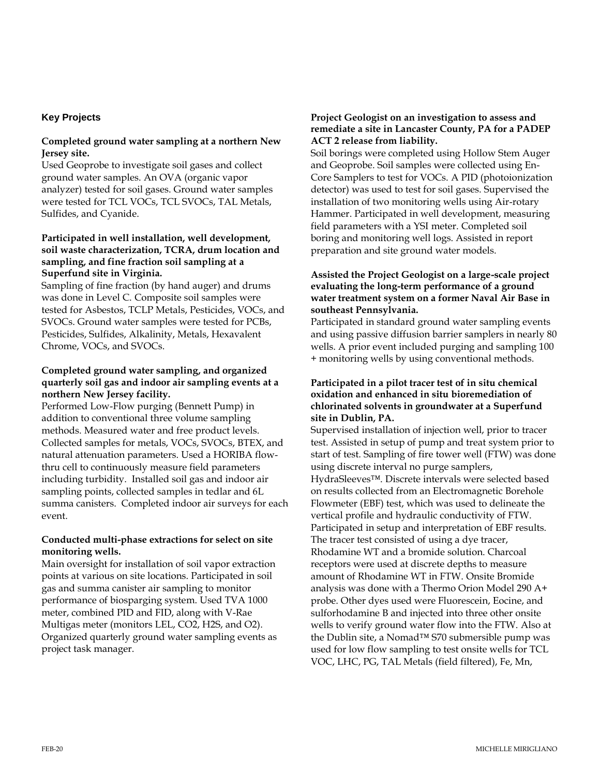## **Key Projects**

### **Completed ground water sampling at a northern New Jersey site.**

Used Geoprobe to investigate soil gases and collect ground water samples. An OVA (organic vapor analyzer) tested for soil gases. Ground water samples were tested for TCL VOCs, TCL SVOCs, TAL Metals, Sulfides, and Cyanide.

# **Participated in well installation, well development, soil waste characterization, TCRA, drum location and sampling, and fine fraction soil sampling at a Superfund site in Virginia.**

Sampling of fine fraction (by hand auger) and drums was done in Level C. Composite soil samples were tested for Asbestos, TCLP Metals, Pesticides, VOCs, and SVOCs. Ground water samples were tested for PCBs, Pesticides, Sulfides, Alkalinity, Metals, Hexavalent Chrome, VOCs, and SVOCs.

## **Completed ground water sampling, and organized quarterly soil gas and indoor air sampling events at a northern New Jersey facility.**

Performed Low-Flow purging (Bennett Pump) in addition to conventional three volume sampling methods. Measured water and free product levels. Collected samples for metals, VOCs, SVOCs, BTEX, and natural attenuation parameters. Used a HORIBA flowthru cell to continuously measure field parameters including turbidity. Installed soil gas and indoor air sampling points, collected samples in tedlar and 6L summa canisters. Completed indoor air surveys for each event.

## **Conducted multi-phase extractions for select on site monitoring wells.**

Main oversight for installation of soil vapor extraction points at various on site locations. Participated in soil gas and summa canister air sampling to monitor performance of biosparging system. Used TVA 1000 meter, combined PID and FID, along with V-Rae Multigas meter (monitors LEL, CO2, H2S, and O2). Organized quarterly ground water sampling events as project task manager.

## **Project Geologist on an investigation to assess and remediate a site in Lancaster County, PA for a PADEP ACT 2 release from liability.**

Soil borings were completed using Hollow Stem Auger and Geoprobe. Soil samples were collected using En-Core Samplers to test for VOCs. A PID (photoionization detector) was used to test for soil gases. Supervised the installation of two monitoring wells using Air-rotary Hammer. Participated in well development, measuring field parameters with a YSI meter. Completed soil boring and monitoring well logs. Assisted in report preparation and site ground water models.

## **Assisted the Project Geologist on a large-scale project evaluating the long-term performance of a ground water treatment system on a former Naval Air Base in southeast Pennsylvania.**

Participated in standard ground water sampling events and using passive diffusion barrier samplers in nearly 80 wells. A prior event included purging and sampling 100 + monitoring wells by using conventional methods.

### **Participated in a pilot tracer test of in situ chemical oxidation and enhanced in situ bioremediation of chlorinated solvents in groundwater at a Superfund site in Dublin, PA.**

Supervised installation of injection well, prior to tracer test. Assisted in setup of pump and treat system prior to start of test. Sampling of fire tower well (FTW) was done using discrete interval no purge samplers, HydraSleeves™. Discrete intervals were selected based on results collected from an Electromagnetic Borehole Flowmeter (EBF) test, which was used to delineate the vertical profile and hydraulic conductivity of FTW. Participated in setup and interpretation of EBF results. The tracer test consisted of using a dye tracer, Rhodamine WT and a bromide solution. Charcoal receptors were used at discrete depths to measure amount of Rhodamine WT in FTW. Onsite Bromide analysis was done with a Thermo Orion Model 290 A+ probe. Other dyes used were Fluorescein, Eocine, and sulforhodamine B and injected into three other onsite wells to verify ground water flow into the FTW. Also at the Dublin site, a Nomad™ S70 submersible pump was used for low flow sampling to test onsite wells for TCL VOC, LHC, PG, TAL Metals (field filtered), Fe, Mn,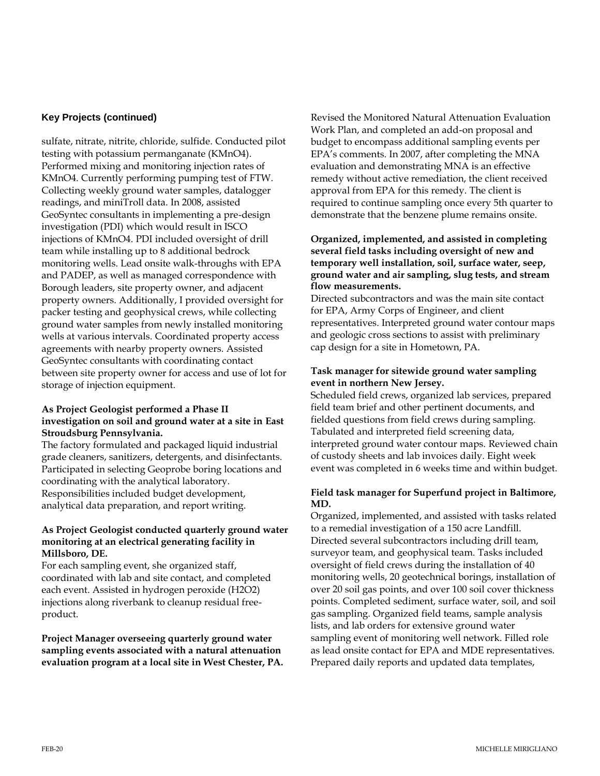## **Key Projects (continued)**

sulfate, nitrate, nitrite, chloride, sulfide. Conducted pilot testing with potassium permanganate (KMnO4). Performed mixing and monitoring injection rates of KMnO4. Currently performing pumping test of FTW. Collecting weekly ground water samples, datalogger readings, and miniTroll data. In 2008, assisted GeoSyntec consultants in implementing a pre-design investigation (PDI) which would result in ISCO injections of KMnO4. PDI included oversight of drill team while installing up to 8 additional bedrock monitoring wells. Lead onsite walk-throughs with EPA and PADEP, as well as managed correspondence with Borough leaders, site property owner, and adjacent property owners. Additionally, I provided oversight for packer testing and geophysical crews, while collecting ground water samples from newly installed monitoring wells at various intervals. Coordinated property access agreements with nearby property owners. Assisted GeoSyntec consultants with coordinating contact between site property owner for access and use of lot for storage of injection equipment.

## **As Project Geologist performed a Phase II investigation on soil and ground water at a site in East Stroudsburg Pennsylvania.**

The factory formulated and packaged liquid industrial grade cleaners, sanitizers, detergents, and disinfectants. Participated in selecting Geoprobe boring locations and coordinating with the analytical laboratory. Responsibilities included budget development, analytical data preparation, and report writing.

#### **As Project Geologist conducted quarterly ground water monitoring at an electrical generating facility in Millsboro, DE.**

For each sampling event, she organized staff, coordinated with lab and site contact, and completed each event. Assisted in hydrogen peroxide (H2O2) injections along riverbank to cleanup residual freeproduct.

**Project Manager overseeing quarterly ground water sampling events associated with a natural attenuation evaluation program at a local site in West Chester, PA.**

Revised the Monitored Natural Attenuation Evaluation Work Plan, and completed an add-on proposal and budget to encompass additional sampling events per EPA's comments. In 2007, after completing the MNA evaluation and demonstrating MNA is an effective remedy without active remediation, the client received approval from EPA for this remedy. The client is required to continue sampling once every 5th quarter to demonstrate that the benzene plume remains onsite.

#### **Organized, implemented, and assisted in completing several field tasks including oversight of new and temporary well installation, soil, surface water, seep, ground water and air sampling, slug tests, and stream flow measurements.**

Directed subcontractors and was the main site contact for EPA, Army Corps of Engineer, and client representatives. Interpreted ground water contour maps and geologic cross sections to assist with preliminary cap design for a site in Hometown, PA.

# **Task manager for sitewide ground water sampling event in northern New Jersey.**

Scheduled field crews, organized lab services, prepared field team brief and other pertinent documents, and fielded questions from field crews during sampling. Tabulated and interpreted field screening data, interpreted ground water contour maps. Reviewed chain of custody sheets and lab invoices daily. Eight week event was completed in 6 weeks time and within budget.

## **Field task manager for Superfund project in Baltimore, MD.**

Organized, implemented, and assisted with tasks related to a remedial investigation of a 150 acre Landfill. Directed several subcontractors including drill team, surveyor team, and geophysical team. Tasks included oversight of field crews during the installation of 40 monitoring wells, 20 geotechnical borings, installation of over 20 soil gas points, and over 100 soil cover thickness points. Completed sediment, surface water, soil, and soil gas sampling. Organized field teams, sample analysis lists, and lab orders for extensive ground water sampling event of monitoring well network. Filled role as lead onsite contact for EPA and MDE representatives. Prepared daily reports and updated data templates,